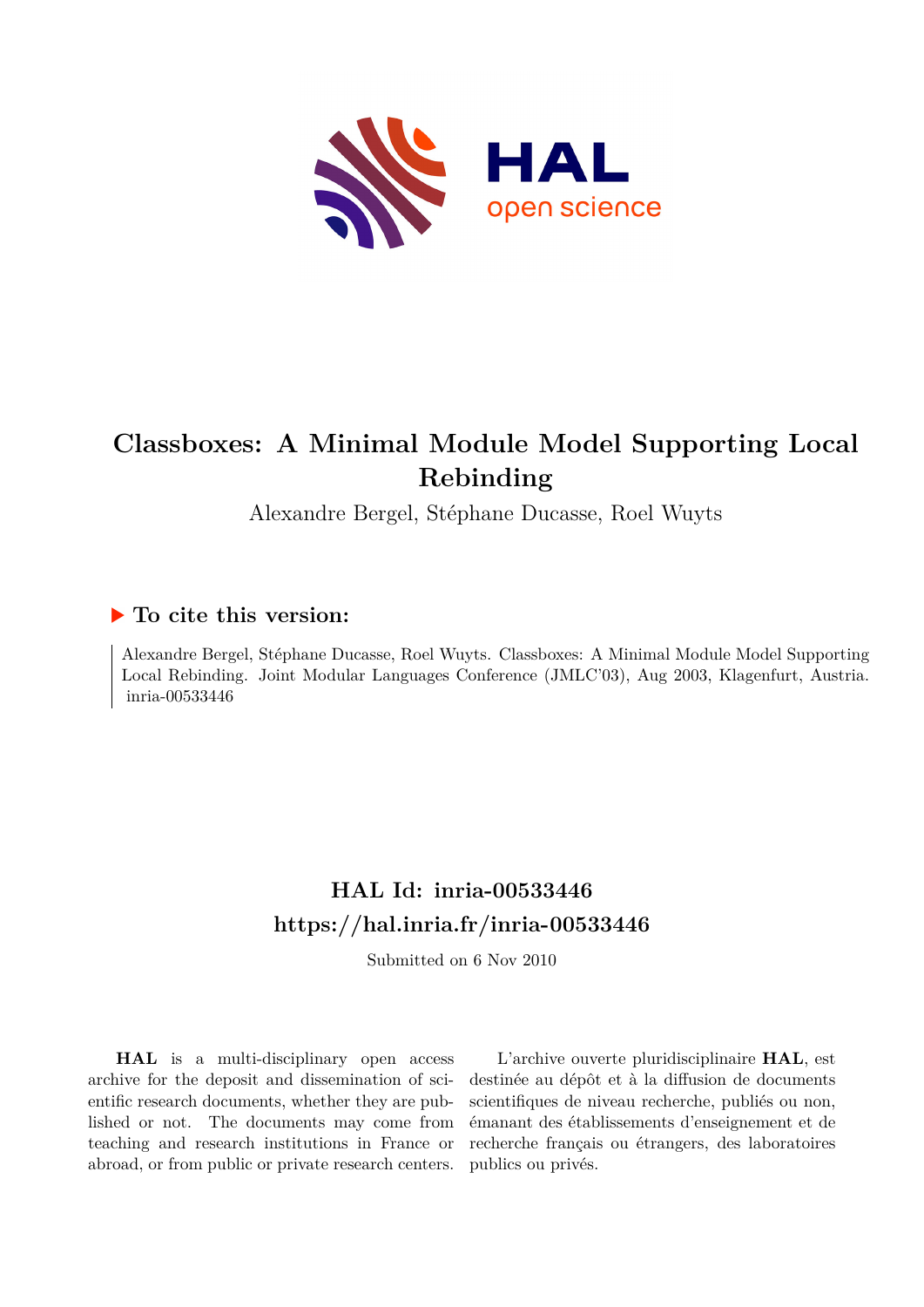

# **Classboxes: A Minimal Module Model Supporting Local Rebinding**

Alexandre Bergel, Stéphane Ducasse, Roel Wuyts

## **To cite this version:**

Alexandre Bergel, Stéphane Ducasse, Roel Wuyts. Classboxes: A Minimal Module Model Supporting Local Rebinding. Joint Modular Languages Conference (JMLC'03), Aug 2003, Klagenfurt, Austria. inria-00533446

## **HAL Id: inria-00533446 <https://hal.inria.fr/inria-00533446>**

Submitted on 6 Nov 2010

**HAL** is a multi-disciplinary open access archive for the deposit and dissemination of scientific research documents, whether they are published or not. The documents may come from teaching and research institutions in France or abroad, or from public or private research centers.

L'archive ouverte pluridisciplinaire **HAL**, est destinée au dépôt et à la diffusion de documents scientifiques de niveau recherche, publiés ou non, émanant des établissements d'enseignement et de recherche français ou étrangers, des laboratoires publics ou privés.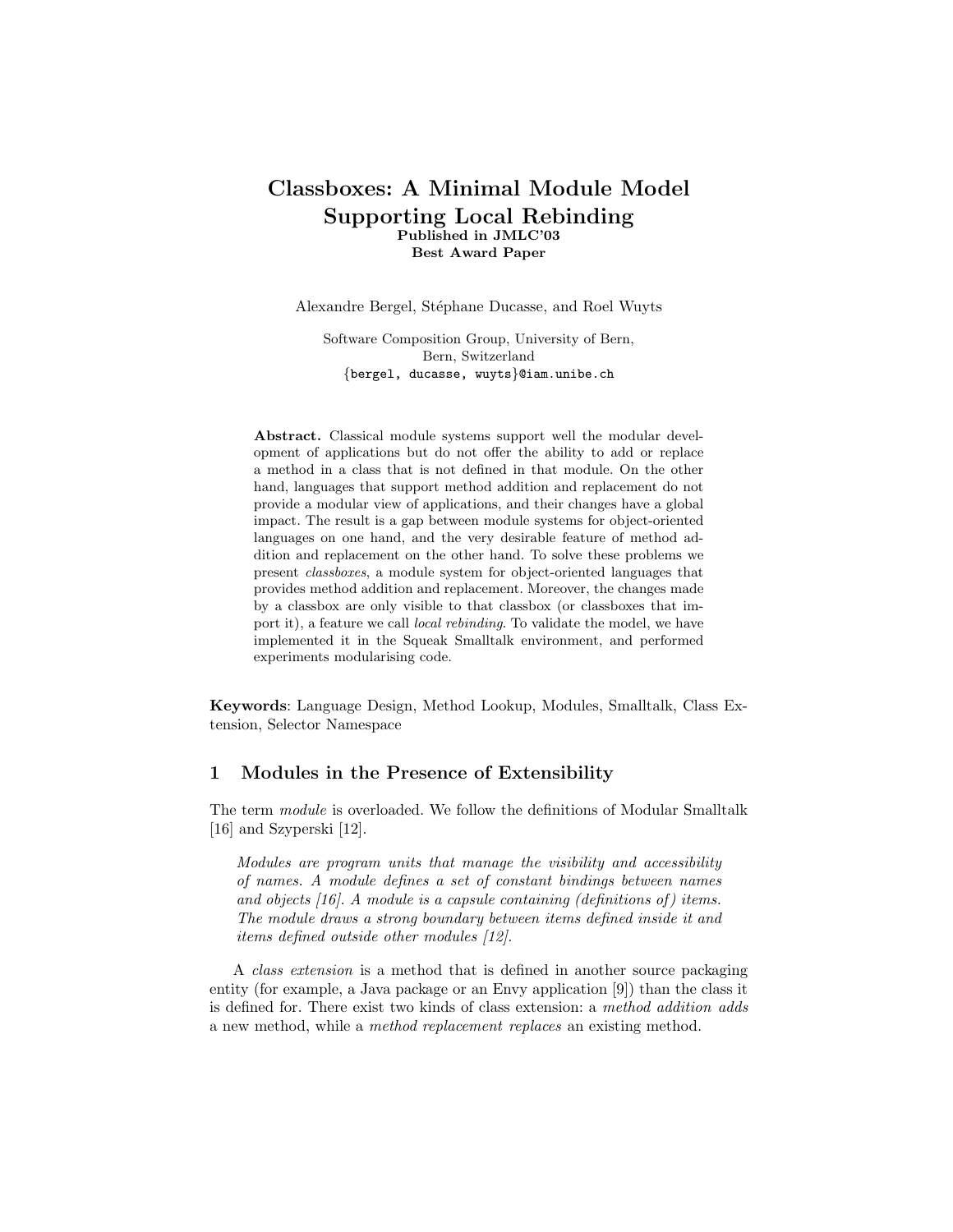## Classboxes: A Minimal Module Model Supporting Local Rebinding Published in JMLC'03 Best Award Paper

Alexandre Bergel, Stéphane Ducasse, and Roel Wuyts

Software Composition Group, University of Bern, Bern, Switzerland {bergel, ducasse, wuyts}@iam.unibe.ch

Abstract. Classical module systems support well the modular development of applications but do not offer the ability to add or replace a method in a class that is not defined in that module. On the other hand, languages that support method addition and replacement do not provide a modular view of applications, and their changes have a global impact. The result is a gap between module systems for object-oriented languages on one hand, and the very desirable feature of method addition and replacement on the other hand. To solve these problems we present classboxes, a module system for object-oriented languages that provides method addition and replacement. Moreover, the changes made by a classbox are only visible to that classbox (or classboxes that import it), a feature we call local rebinding. To validate the model, we have implemented it in the Squeak Smalltalk environment, and performed experiments modularising code.

Keywords: Language Design, Method Lookup, Modules, Smalltalk, Class Extension, Selector Namespace

## 1 Modules in the Presence of Extensibility

The term module is overloaded. We follow the definitions of Modular Smalltalk [16] and Szyperski [12].

Modules are program units that manage the visibility and accessibility of names. A module defines a set of constant bindings between names and objects  $[16]$ . A module is a capsule containing (definitions of) items. The module draws a strong boundary between items defined inside it and items defined outside other modules [12].

A class extension is a method that is defined in another source packaging entity (for example, a Java package or an Envy application [9]) than the class it is defined for. There exist two kinds of class extension: a method addition adds a new method, while a method replacement replaces an existing method.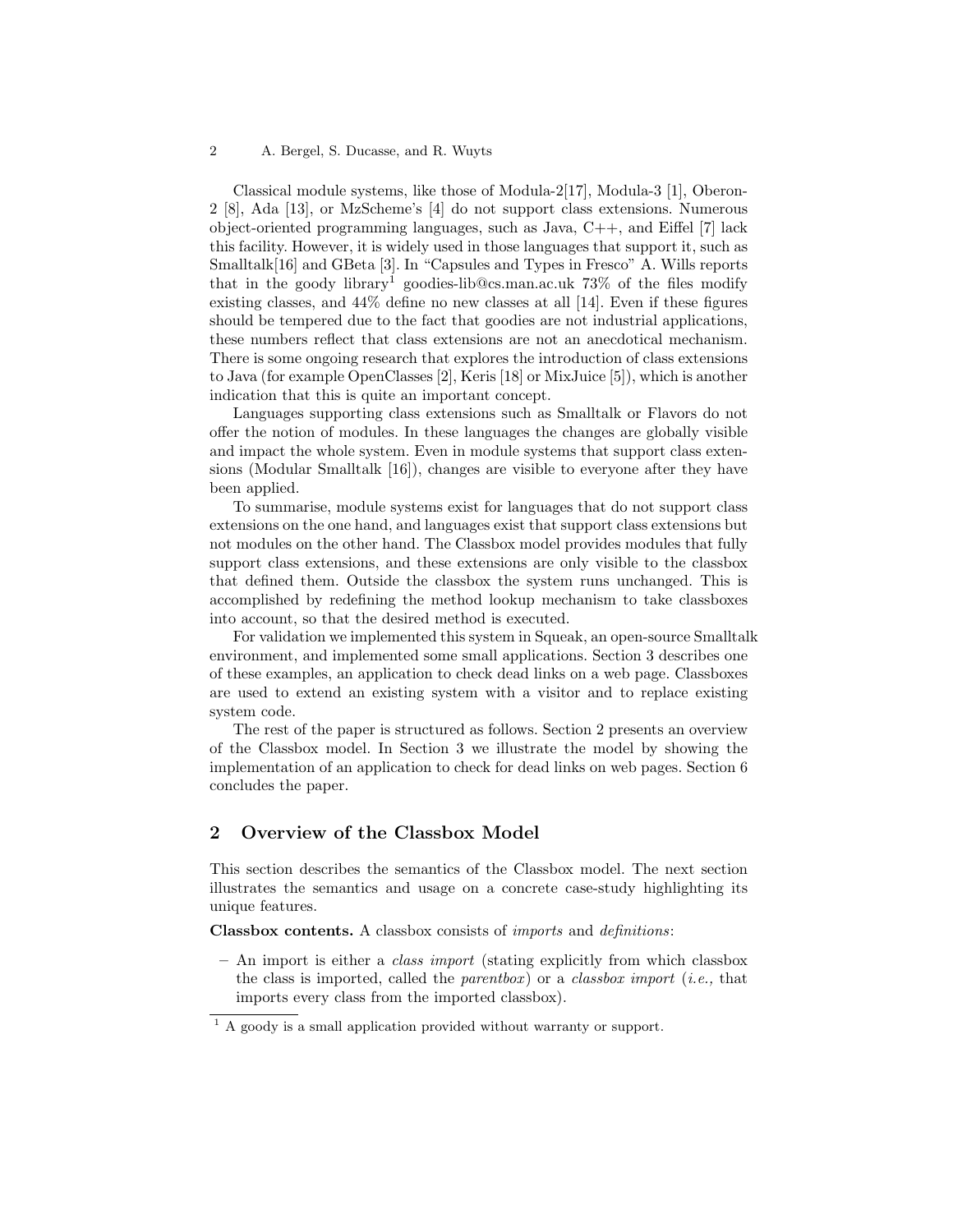Classical module systems, like those of Modula-2[17], Modula-3 [1], Oberon-2 [8], Ada [13], or MzScheme's [4] do not support class extensions. Numerous object-oriented programming languages, such as Java, C++, and Eiffel [7] lack this facility. However, it is widely used in those languages that support it, such as Smalltalk[16] and GBeta [3]. In "Capsules and Types in Fresco" A. Wills reports that in the goody library<sup>1</sup> goodies-lib@cs.man.ac.uk 73\% of the files modify existing classes, and 44% define no new classes at all [14]. Even if these figures should be tempered due to the fact that goodies are not industrial applications, these numbers reflect that class extensions are not an anecdotical mechanism. There is some ongoing research that explores the introduction of class extensions to Java (for example OpenClasses [2], Keris [18] or MixJuice [5]), which is another indication that this is quite an important concept.

Languages supporting class extensions such as Smalltalk or Flavors do not offer the notion of modules. In these languages the changes are globally visible and impact the whole system. Even in module systems that support class extensions (Modular Smalltalk [16]), changes are visible to everyone after they have been applied.

To summarise, module systems exist for languages that do not support class extensions on the one hand, and languages exist that support class extensions but not modules on the other hand. The Classbox model provides modules that fully support class extensions, and these extensions are only visible to the classbox that defined them. Outside the classbox the system runs unchanged. This is accomplished by redefining the method lookup mechanism to take classboxes into account, so that the desired method is executed.

For validation we implemented this system in Squeak, an open-source Smalltalk environment, and implemented some small applications. Section 3 describes one of these examples, an application to check dead links on a web page. Classboxes are used to extend an existing system with a visitor and to replace existing system code.

The rest of the paper is structured as follows. Section 2 presents an overview of the Classbox model. In Section 3 we illustrate the model by showing the implementation of an application to check for dead links on web pages. Section 6 concludes the paper.

## 2 Overview of the Classbox Model

This section describes the semantics of the Classbox model. The next section illustrates the semantics and usage on a concrete case-study highlighting its unique features.

Classbox contents. A classbox consists of imports and definitions:

 $-$  An import is either a *class import* (stating explicitly from which classbox the class is imported, called the *parentbox*) or a *classbox import* (*i.e.*, that imports every class from the imported classbox).

 $<sup>1</sup>$  A goody is a small application provided without warranty or support.</sup>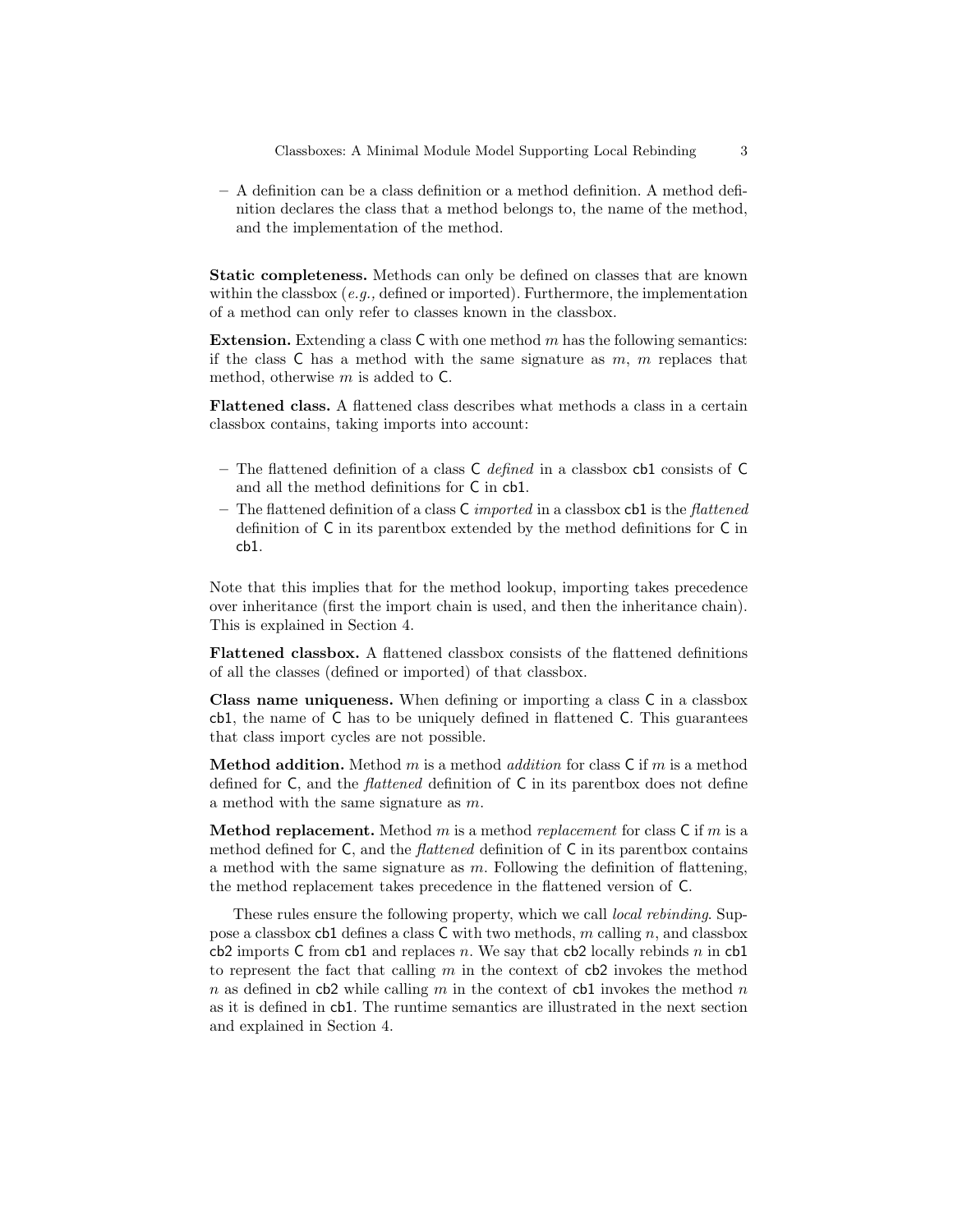– A definition can be a class definition or a method definition. A method definition declares the class that a method belongs to, the name of the method, and the implementation of the method.

Static completeness. Methods can only be defined on classes that are known within the classbox  $(e,q, \text{ defined or imported})$ . Furthermore, the implementation of a method can only refer to classes known in the classbox.

**Extension.** Extending a class  $\mathsf{C}$  with one method  $m$  has the following semantics: if the class  $C$  has a method with the same signature as  $m$ ,  $m$  replaces that method, otherwise  $m$  is added to  $C$ .

Flattened class. A flattened class describes what methods a class in a certain classbox contains, taking imports into account:

- The flattened definition of a class  $C$  *defined* in a classbox cb1 consists of C and all the method definitions for C in cb1.
- The flattened definition of a class  $C$  *imported* in a classbox  $cb1$  is the *flattened* definition of C in its parentbox extended by the method definitions for C in cb1.

Note that this implies that for the method lookup, importing takes precedence over inheritance (first the import chain is used, and then the inheritance chain). This is explained in Section 4.

Flattened classbox. A flattened classbox consists of the flattened definitions of all the classes (defined or imported) of that classbox.

Class name uniqueness. When defining or importing a class C in a classbox cb1, the name of C has to be uniquely defined in flattened C. This guarantees that class import cycles are not possible.

**Method addition.** Method m is a method *addition* for class C if m is a method defined for  $\mathsf{C}$ , and the *flattened* definition of  $\mathsf{C}$  in its parentbox does not define a method with the same signature as m.

**Method replacement.** Method m is a method replacement for class  $\mathsf{C}$  if m is a method defined for  $C$ , and the *flattened* definition of  $C$  in its parentbox contains a method with the same signature as  $m$ . Following the definition of flattening, the method replacement takes precedence in the flattened version of C.

These rules ensure the following property, which we call local rebinding. Suppose a classbox cb1 defines a class  $C$  with two methods, m calling n, and classbox cb2 imports C from cb1 and replaces n. We say that cb2 locally rebinds n in cb1 to represent the fact that calling  $m$  in the context of  $\texttt{cb2}$  invokes the method n as defined in cb2 while calling m in the context of cb1 invokes the method n as it is defined in cb1. The runtime semantics are illustrated in the next section and explained in Section 4.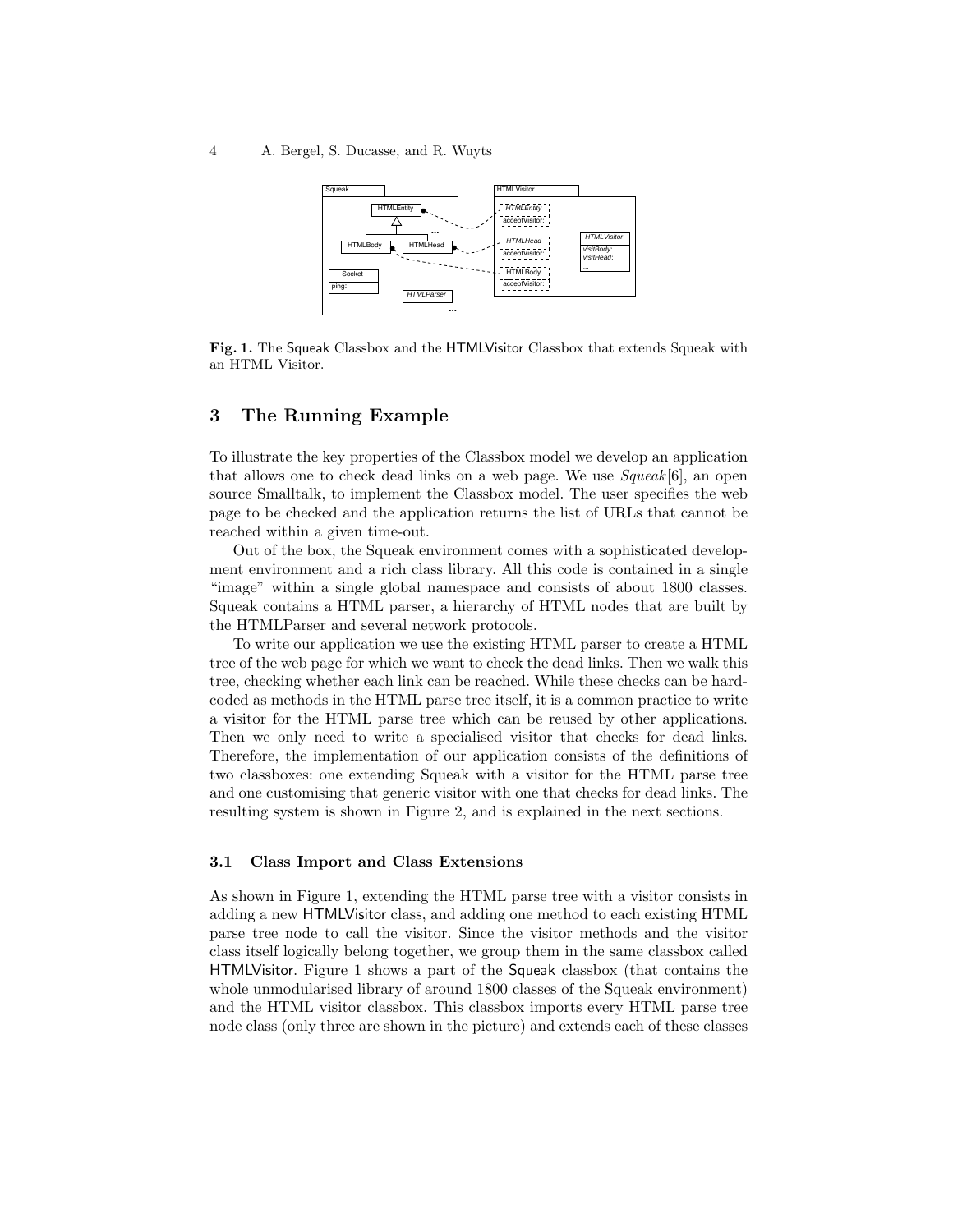

Fig. 1. The Squeak Classbox and the HTMLVisitor Classbox that extends Squeak with an HTML Visitor.

## 3 The Running Example

To illustrate the key properties of the Classbox model we develop an application that allows one to check dead links on a web page. We use  $Square[k]$ , an open source Smalltalk, to implement the Classbox model. The user specifies the web page to be checked and the application returns the list of URLs that cannot be reached within a given time-out.

Out of the box, the Squeak environment comes with a sophisticated development environment and a rich class library. All this code is contained in a single "image" within a single global namespace and consists of about 1800 classes. Squeak contains a HTML parser, a hierarchy of HTML nodes that are built by the HTMLParser and several network protocols.

To write our application we use the existing HTML parser to create a HTML tree of the web page for which we want to check the dead links. Then we walk this tree, checking whether each link can be reached. While these checks can be hardcoded as methods in the HTML parse tree itself, it is a common practice to write a visitor for the HTML parse tree which can be reused by other applications. Then we only need to write a specialised visitor that checks for dead links. Therefore, the implementation of our application consists of the definitions of two classboxes: one extending Squeak with a visitor for the HTML parse tree and one customising that generic visitor with one that checks for dead links. The resulting system is shown in Figure 2, and is explained in the next sections.

#### 3.1 Class Import and Class Extensions

As shown in Figure 1, extending the HTML parse tree with a visitor consists in adding a new HTMLVisitor class, and adding one method to each existing HTML parse tree node to call the visitor. Since the visitor methods and the visitor class itself logically belong together, we group them in the same classbox called HTMLVisitor. Figure 1 shows a part of the Squeak classbox (that contains the whole unmodularised library of around 1800 classes of the Squeak environment) and the HTML visitor classbox. This classbox imports every HTML parse tree node class (only three are shown in the picture) and extends each of these classes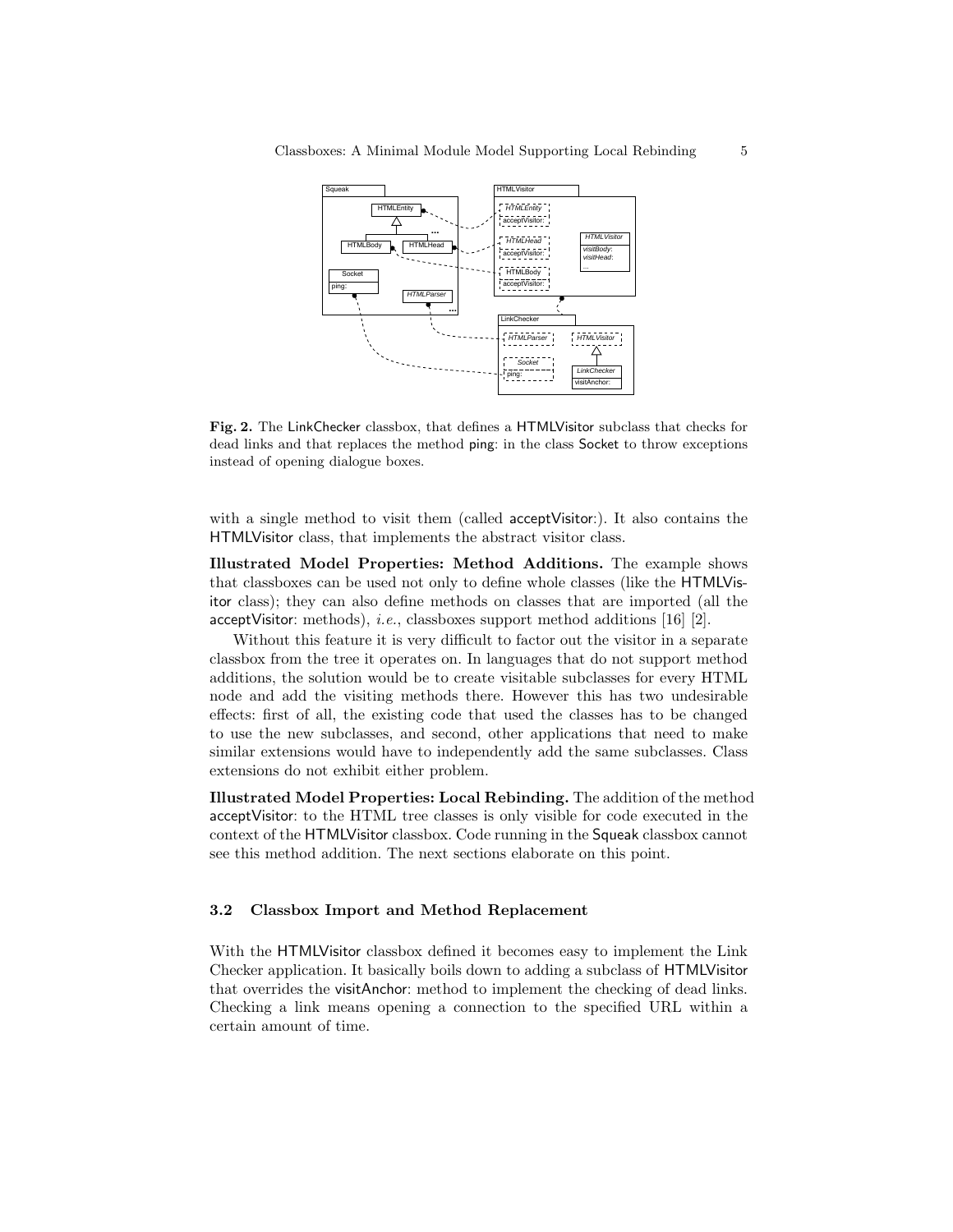

Fig. 2. The LinkChecker classbox, that defines a HTMLVisitor subclass that checks for dead links and that replaces the method ping: in the class Socket to throw exceptions instead of opening dialogue boxes.

with a single method to visit them (called acceptVisitor:). It also contains the HTMLVisitor class, that implements the abstract visitor class.

Illustrated Model Properties: Method Additions. The example shows that classboxes can be used not only to define whole classes (like the HTMLVisitor class); they can also define methods on classes that are imported (all the acceptVisitor: methods), *i.e.*, classboxes support method additions [16] [2].

Without this feature it is very difficult to factor out the visitor in a separate classbox from the tree it operates on. In languages that do not support method additions, the solution would be to create visitable subclasses for every HTML node and add the visiting methods there. However this has two undesirable effects: first of all, the existing code that used the classes has to be changed to use the new subclasses, and second, other applications that need to make similar extensions would have to independently add the same subclasses. Class extensions do not exhibit either problem.

Illustrated Model Properties: Local Rebinding. The addition of the method acceptVisitor: to the HTML tree classes is only visible for code executed in the context of the HTMLVisitor classbox. Code running in the Squeak classbox cannot see this method addition. The next sections elaborate on this point.

#### 3.2 Classbox Import and Method Replacement

With the HTMLVisitor classbox defined it becomes easy to implement the Link Checker application. It basically boils down to adding a subclass of HTMLVisitor that overrides the visitAnchor: method to implement the checking of dead links. Checking a link means opening a connection to the specified URL within a certain amount of time.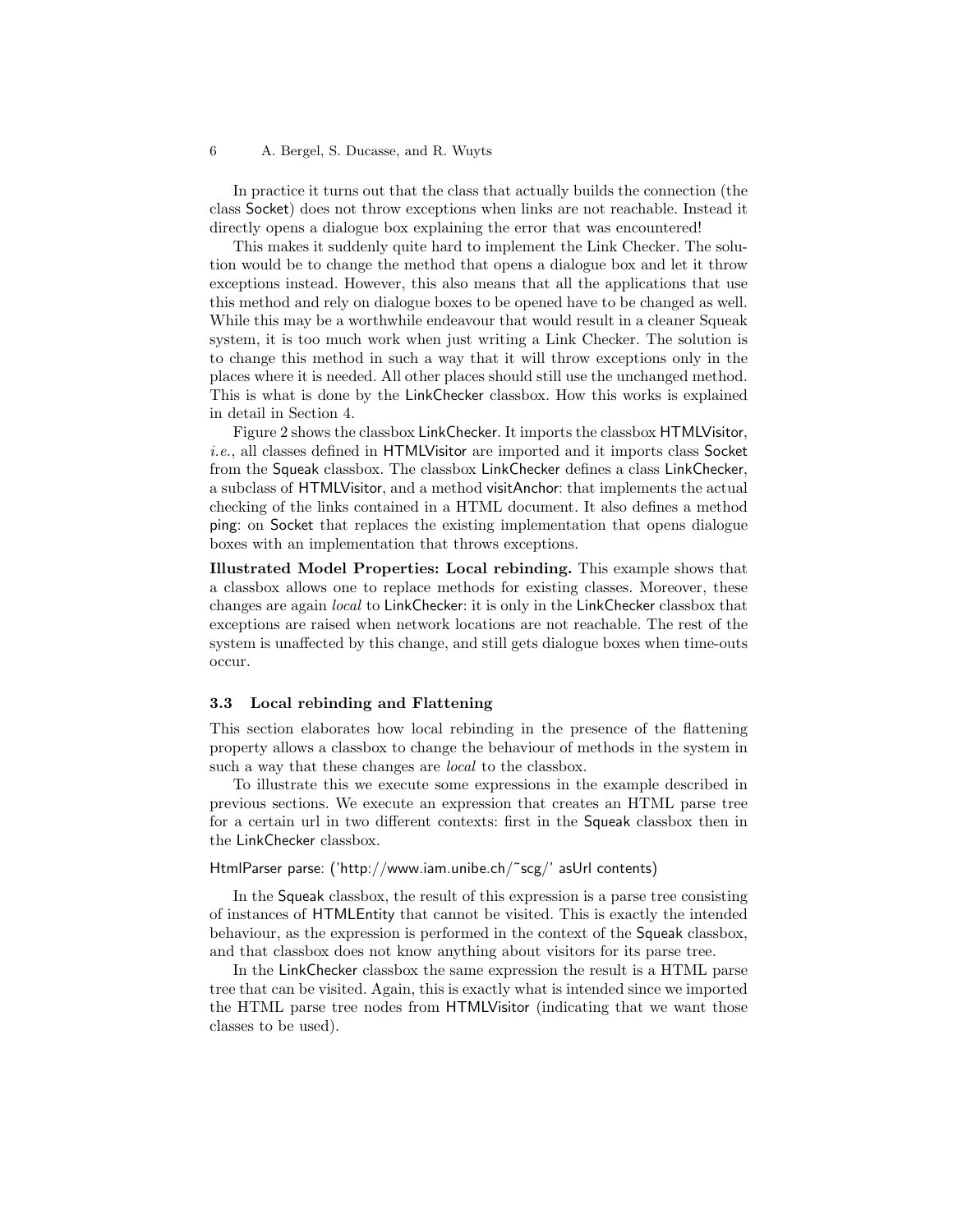In practice it turns out that the class that actually builds the connection (the class Socket) does not throw exceptions when links are not reachable. Instead it directly opens a dialogue box explaining the error that was encountered!

This makes it suddenly quite hard to implement the Link Checker. The solution would be to change the method that opens a dialogue box and let it throw exceptions instead. However, this also means that all the applications that use this method and rely on dialogue boxes to be opened have to be changed as well. While this may be a worthwhile endeavour that would result in a cleaner Squeak system, it is too much work when just writing a Link Checker. The solution is to change this method in such a way that it will throw exceptions only in the places where it is needed. All other places should still use the unchanged method. This is what is done by the LinkChecker classbox. How this works is explained in detail in Section 4.

Figure 2 shows the classbox LinkChecker. It imports the classbox HTMLVisitor, i.e., all classes defined in HTMLVisitor are imported and it imports class Socket from the Squeak classbox. The classbox LinkChecker defines a class LinkChecker, a subclass of HTMLVisitor, and a method visitAnchor: that implements the actual checking of the links contained in a HTML document. It also defines a method ping: on Socket that replaces the existing implementation that opens dialogue boxes with an implementation that throws exceptions.

Illustrated Model Properties: Local rebinding. This example shows that a classbox allows one to replace methods for existing classes. Moreover, these changes are again local to LinkChecker: it is only in the LinkChecker classbox that exceptions are raised when network locations are not reachable. The rest of the system is unaffected by this change, and still gets dialogue boxes when time-outs occur.

#### 3.3 Local rebinding and Flattening

This section elaborates how local rebinding in the presence of the flattening property allows a classbox to change the behaviour of methods in the system in such a way that these changes are *local* to the classbox.

To illustrate this we execute some expressions in the example described in previous sections. We execute an expression that creates an HTML parse tree for a certain url in two different contexts: first in the Squeak classbox then in the LinkChecker classbox.

### HtmlParser parse: ('http://www.iam.unibe.ch/˜scg/' asUrl contents)

In the Squeak classbox, the result of this expression is a parse tree consisting of instances of HTMLEntity that cannot be visited. This is exactly the intended behaviour, as the expression is performed in the context of the Squeak classbox, and that classbox does not know anything about visitors for its parse tree.

In the LinkChecker classbox the same expression the result is a HTML parse tree that can be visited. Again, this is exactly what is intended since we imported the HTML parse tree nodes from HTMLVisitor (indicating that we want those classes to be used).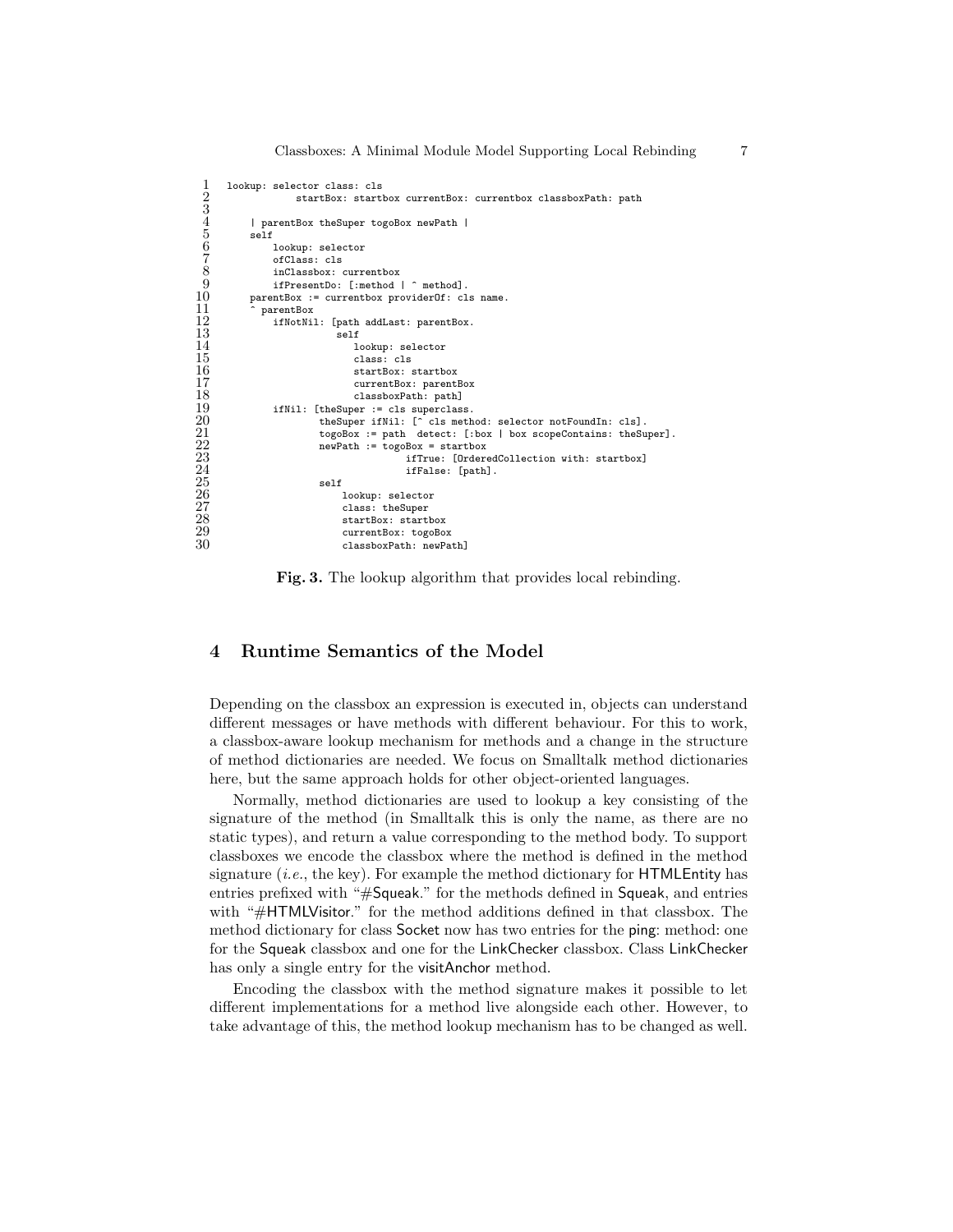```
1 lookup: selector class: cls
                      startBox: startbox currentBox: currentbox classboxPath: path
 34567894 | parentBox theSuper togoBox newPath |
            5 self
                 lookup: selector
                 ofClass: cls
                 inClassbox: currentbox
9 ifPresentDo: [:method | ^ method].<br>10 parentBox := currentbox providerOf: cl<br>11 ^ parentBox
            parentBox := currentbox providerOf: cls name.
11 ^ parentBox<br>
12 ifNotNi<br>
13 14<br>
15<br>
16<br>
17<br>
18 ifNil:<br>
20 ifNil:<br>
20<br>
22<br>
23<br>
24<br>
25<br>
26<br>
27<br>
28<br>
29<br>
30
                 12 ifNotNil: [path addLast: parentBox.
                               self
                                   lookup: selector
                                   class: cls
                                   startBox: startbox
                                   currentBox: parentBox
                                   classboxPath: path]
                 ifNil: [theSuper := cls superclass.
                           theSuper ifNil: [^ cls method: selector notFoundIn: cls].
                           21 togoBox := path detect: [:box | box scopeContains: theSuper].
                           newPath := togoBox = startbox
                                              ifTrue: [OrderedCollection with: startbox]
                                               ifFalse: [path].
                           self
                                lookup: selector
                                class: theSuper
                                 startBox: startbox
                                 currentBox: togoBox
                                classboxPath: newPath]
```
Fig. 3. The lookup algorithm that provides local rebinding.

## 4 Runtime Semantics of the Model

Depending on the classbox an expression is executed in, objects can understand different messages or have methods with different behaviour. For this to work, a classbox-aware lookup mechanism for methods and a change in the structure of method dictionaries are needed. We focus on Smalltalk method dictionaries here, but the same approach holds for other object-oriented languages.

Normally, method dictionaries are used to lookup a key consisting of the signature of the method (in Smalltalk this is only the name, as there are no static types), and return a value corresponding to the method body. To support classboxes we encode the classbox where the method is defined in the method signature (*i.e.*, the key). For example the method dictionary for  $HTMLEntity$  has entries prefixed with "#Squeak." for the methods defined in Squeak, and entries with "#HTMLVisitor." for the method additions defined in that classbox. The method dictionary for class Socket now has two entries for the ping: method: one for the Squeak classbox and one for the LinkChecker classbox. Class LinkChecker has only a single entry for the visitAnchor method.

Encoding the classbox with the method signature makes it possible to let different implementations for a method live alongside each other. However, to take advantage of this, the method lookup mechanism has to be changed as well.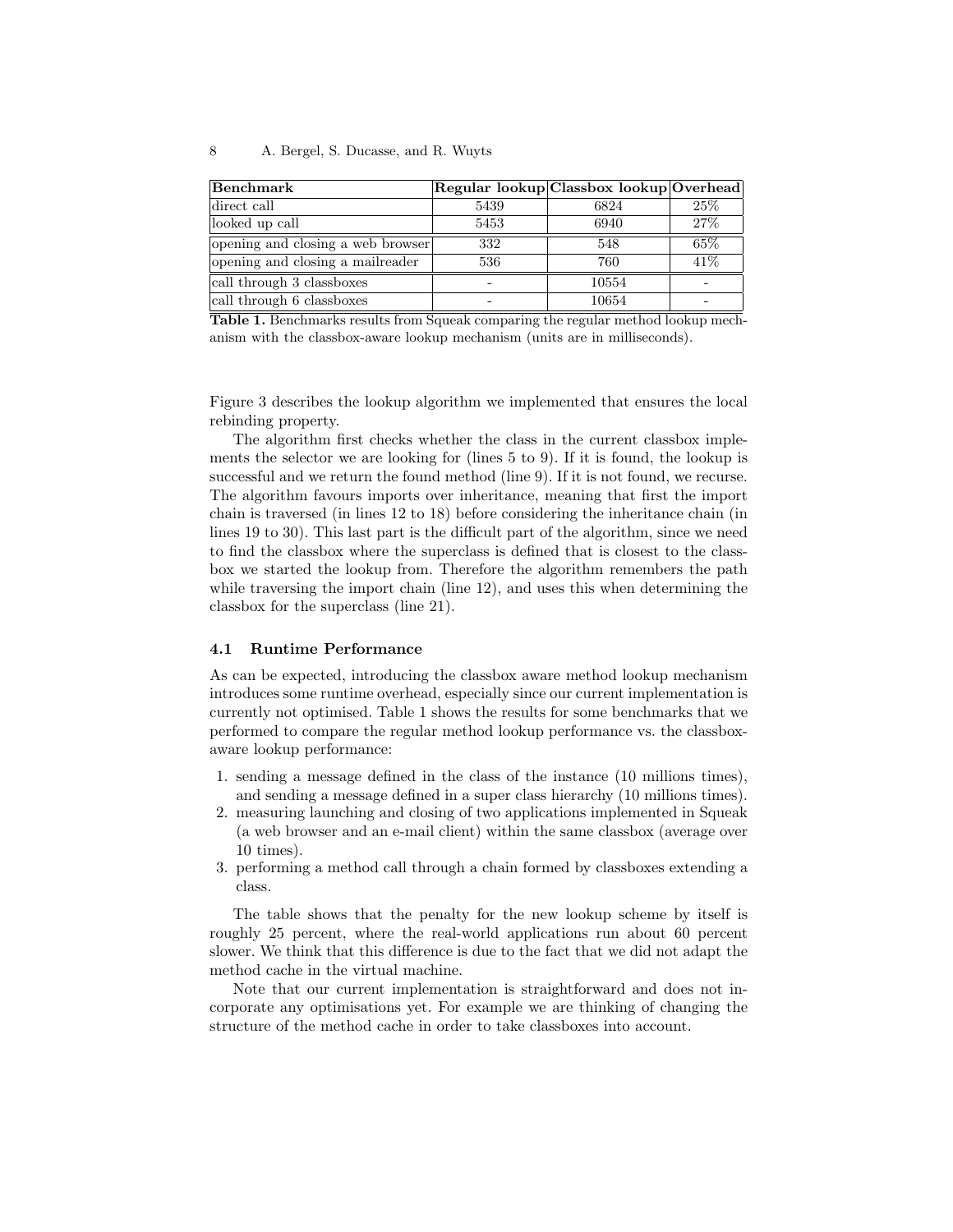| Benchmark                         |      | Regular lookup Classbox lookup Overhead |      |
|-----------------------------------|------|-----------------------------------------|------|
| direct call                       | 5439 | 6824                                    | 25\% |
| looked up call                    | 5453 | 6940                                    | 27%  |
| opening and closing a web browser | 332  | 548                                     | 65\% |
| opening and closing a mailreader  | 536  | 760                                     | 41\% |
| call through 3 classboxes         |      | 10554                                   |      |
| call through 6 classboxes         |      | 10654                                   |      |

Table 1. Benchmarks results from Squeak comparing the regular method lookup mechanism with the classbox-aware lookup mechanism (units are in milliseconds).

Figure 3 describes the lookup algorithm we implemented that ensures the local rebinding property.

The algorithm first checks whether the class in the current classbox implements the selector we are looking for (lines 5 to 9). If it is found, the lookup is successful and we return the found method (line 9). If it is not found, we recurse. The algorithm favours imports over inheritance, meaning that first the import chain is traversed (in lines 12 to 18) before considering the inheritance chain (in lines 19 to 30). This last part is the difficult part of the algorithm, since we need to find the classbox where the superclass is defined that is closest to the classbox we started the lookup from. Therefore the algorithm remembers the path while traversing the import chain (line 12), and uses this when determining the classbox for the superclass (line 21).

#### 4.1 Runtime Performance

As can be expected, introducing the classbox aware method lookup mechanism introduces some runtime overhead, especially since our current implementation is currently not optimised. Table 1 shows the results for some benchmarks that we performed to compare the regular method lookup performance vs. the classboxaware lookup performance:

- 1. sending a message defined in the class of the instance (10 millions times), and sending a message defined in a super class hierarchy (10 millions times).
- 2. measuring launching and closing of two applications implemented in Squeak (a web browser and an e-mail client) within the same classbox (average over 10 times).
- 3. performing a method call through a chain formed by classboxes extending a class.

The table shows that the penalty for the new lookup scheme by itself is roughly 25 percent, where the real-world applications run about 60 percent slower. We think that this difference is due to the fact that we did not adapt the method cache in the virtual machine.

Note that our current implementation is straightforward and does not incorporate any optimisations yet. For example we are thinking of changing the structure of the method cache in order to take classboxes into account.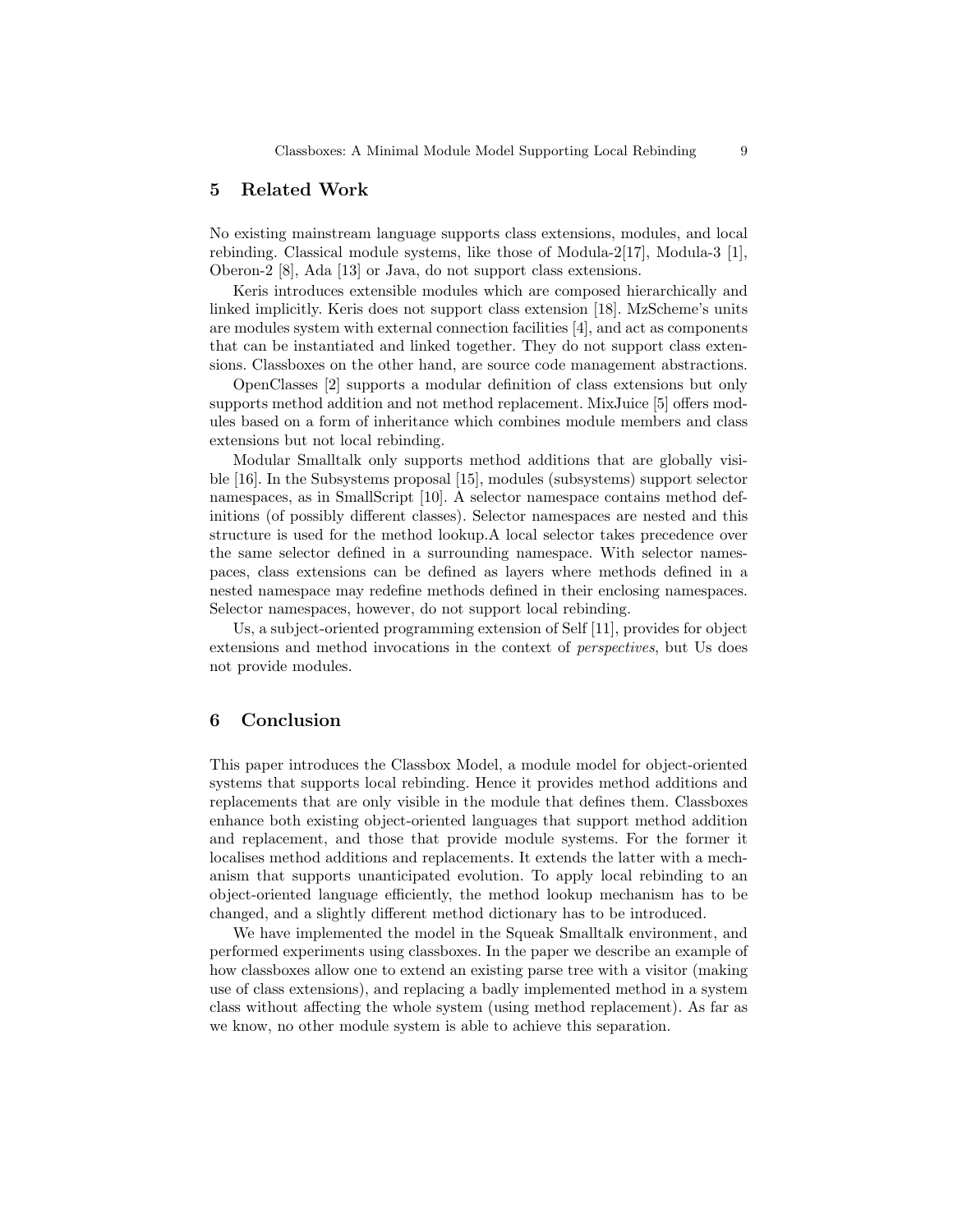## 5 Related Work

No existing mainstream language supports class extensions, modules, and local rebinding. Classical module systems, like those of Modula-2[17], Modula-3 [1], Oberon-2 [8], Ada [13] or Java, do not support class extensions.

Keris introduces extensible modules which are composed hierarchically and linked implicitly. Keris does not support class extension [18]. MzScheme's units are modules system with external connection facilities [4], and act as components that can be instantiated and linked together. They do not support class extensions. Classboxes on the other hand, are source code management abstractions.

OpenClasses [2] supports a modular definition of class extensions but only supports method addition and not method replacement. MixJuice [5] offers modules based on a form of inheritance which combines module members and class extensions but not local rebinding.

Modular Smalltalk only supports method additions that are globally visible [16]. In the Subsystems proposal [15], modules (subsystems) support selector namespaces, as in SmallScript [10]. A selector namespace contains method definitions (of possibly different classes). Selector namespaces are nested and this structure is used for the method lookup.A local selector takes precedence over the same selector defined in a surrounding namespace. With selector namespaces, class extensions can be defined as layers where methods defined in a nested namespace may redefine methods defined in their enclosing namespaces. Selector namespaces, however, do not support local rebinding.

Us, a subject-oriented programming extension of Self [11], provides for object extensions and method invocations in the context of perspectives, but Us does not provide modules.

### 6 Conclusion

This paper introduces the Classbox Model, a module model for object-oriented systems that supports local rebinding. Hence it provides method additions and replacements that are only visible in the module that defines them. Classboxes enhance both existing object-oriented languages that support method addition and replacement, and those that provide module systems. For the former it localises method additions and replacements. It extends the latter with a mechanism that supports unanticipated evolution. To apply local rebinding to an object-oriented language efficiently, the method lookup mechanism has to be changed, and a slightly different method dictionary has to be introduced.

We have implemented the model in the Squeak Smalltalk environment, and performed experiments using classboxes. In the paper we describe an example of how classboxes allow one to extend an existing parse tree with a visitor (making use of class extensions), and replacing a badly implemented method in a system class without affecting the whole system (using method replacement). As far as we know, no other module system is able to achieve this separation.